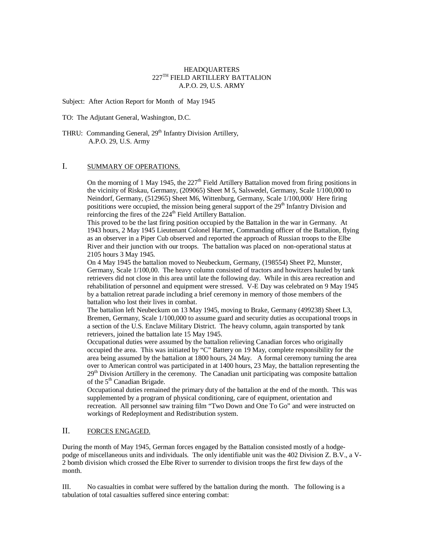# HEADQUARTERS  $227^{\mathrm{TH}}$  FIELD ARTILLERY BATTALION A.P.O. 29, U.S. ARMY

Subject: After Action Report for Month of May 1945

TO: The Adjutant General, Washington, D.C.

THRU: Commanding General, 29<sup>th</sup> Infantry Division Artillery, A.P.O. 29, U.S. Army

## I. SUMMARY OF OPERATIONS.

On the morning of 1 May 1945, the  $227<sup>th</sup>$  Field Artillery Battalion moved from firing positions in the vicinity of Riskau, Germany, (209065) Sheet M 5, Salswedel, Germany, Scale 1/100,000 to Neindorf, Germany, (512965) Sheet M6, Wittenburg, Germany, Scale 1/100,000/ Here firing posititions were occupied, the mission being general support of the  $29<sup>th</sup>$  Infantry Division and reinforcing the fires of the 224<sup>th</sup> Field Artillery Battalion.

This proved to be the last firing position occupied by the Battalion in the war in Germany. At 1943 hours, 2 May 1945 Lieutenant Colonel Harmer, Commanding officer of the Battalion, flying as an observer in a Piper Cub observed and reported the approach of Russian troops to the Elbe River and their junction with our troops. The battalion was placed on non-operational status at 2105 hours 3 May 1945.

On 4 May 1945 the battalion moved to Neubeckum, Germany, (198554) Sheet P2, Munster, Germany, Scale 1/100,00. The heavy column consisted of tractors and howitzers hauled by tank retrievers did not close in this area until late the following day. While in this area recreation and rehabilitation of personnel and equipment were stressed. V-E Day was celebrated on 9 May 1945 by a battalion retreat parade including a brief ceremony in memory of those members of the battalion who lost their lives in combat.

The battalion left Neubeckum on 13 May 1945, moving to Brake, Germany (499238) Sheet L3, Bremen, Germany, Scale 1/100,000 to assume guard and security duties as occupational troops in a section of the U.S. Enclave Military District. The heavy column, again transported by tank retrievers, joined the battalion late 15 May 1945.

Occupational duties were assumed by the battalion relieving Canadian forces who originally occupied the area. This was initiated by "C" Battery on 19 May, complete responsibility for the area being assumed by the battalion at 1800 hours, 24 May. A formal ceremony turning the area over to American control was participated in at 1400 hours, 23 May, the battalion representing the 29<sup>th</sup> Division Artillery in the ceremony. The Canadian unit participating was composite battalion of the 5<sup>th</sup> Canadian Brigade.

Occupational duties remained the primary duty of the battalion at the end of the month. This was supplemented by a program of physical conditioning, care of equipment, orientation and recreation. All personnel saw training film "Two Down and One To Go" and were instructed on workings of Redeployment and Redistribution system.

# II. FORCES ENGAGED.

During the month of May 1945, German forces engaged by the Battalion consisted mostly of a hodgepodge of miscellaneous units and individuals. The only identifiable unit was the 402 Division Z. B.V., a V-2 bomb division which crossed the Elbe River to surrender to division troops the first few days of the month.

III. No casualties in combat were suffered by the battalion during the month. The following is a tabulation of total casualties suffered since entering combat: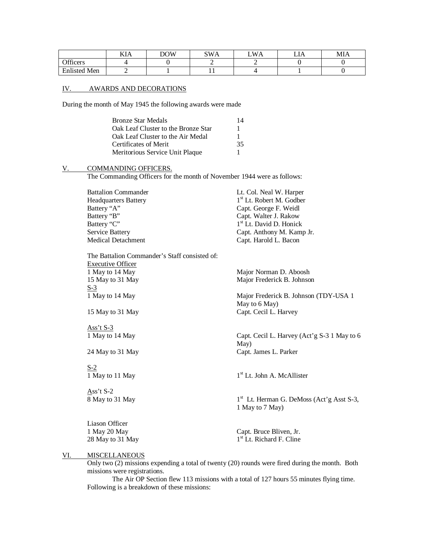|                         | TT<br>KIA | DOW | $SW\Delta$<br>SWA | <b>WA</b><br>∸ | . .<br>பட | MIA |
|-------------------------|-----------|-----|-------------------|----------------|-----------|-----|
| $\alpha$ cc<br>Officers |           |     |                   |                |           |     |
| <b>Enlisted Men</b>     |           |     | . .               |                |           |     |

#### IV. AWARDS AND DECORATIONS

During the month of May 1945 the following awards were made

| <b>Bronze Star Medals</b>           | 14 |
|-------------------------------------|----|
| Oak Leaf Cluster to the Bronze Star | L  |
| Oak Leaf Cluster to the Air Medal   |    |
| Certificates of Merit               | 35 |
| Meritorious Service Unit Plaque     |    |

## V. COMMANDING OFFICERS.

The Commanding Officers for the month of November 1944 were as follows:

| <b>Battalion Commander</b> | Lt. Col. Neal W. Harper              |
|----------------------------|--------------------------------------|
| Headquarters Battery       | 1 <sup>st</sup> Lt. Robert M. Godber |
| Battery "A"                | Capt. George F. Weidl                |
| Battery "B"                | Capt. Walter J. Rakow                |
| Battery "C"                | 1 <sup>st</sup> Lt. David D. Honick  |
| Service Battery            | Capt. Anthony M. Kamp Jr.            |
| Medical Detachment         | Capt. Harold L. Bacon                |
|                            |                                      |

The Battalion Commander's Staff consisted of: Executive Officer<br>1 May to 14 May 15 May to 31 May 15 Major Frederick B. Johnson  $\frac{S-3}{1}$  May to 14 May

Ass't S-3<br>1 May to 14 May

S-2 1 May to 11 May

Ass't S-2 8 May to 31 May

Major Norman D. Aboosh

Major Frederick B. Johnson (TDY-USA 1 May to 6 May) 15 May to 31 May **Capt. Cecil L. Harvey** 

Capt. Cecil L. Harvey (Act'g S-3 1 May to 6 May) 24 May to 31 May Capt. James L. Parker

1<sup>st</sup> Lt. John A. McAllister

 $1<sup>st</sup>$  Lt. Herman G. DeMoss (Act'g Asst S-3, 1 May to 7 May)

Liason Officer 28 May to 31 May

Capt. Bruce Bliven, Jr. 1<sup>st</sup> Lt. Richard F. Cline

# VI. MISCELLANEOUS

Only two (2) missions expending a total of twenty (20) rounds were fired during the month. Both missions were registrations.

The Air OP Section flew 113 missions with a total of 127 hours 55 minutes flying time. Following is a breakdown of these missions: